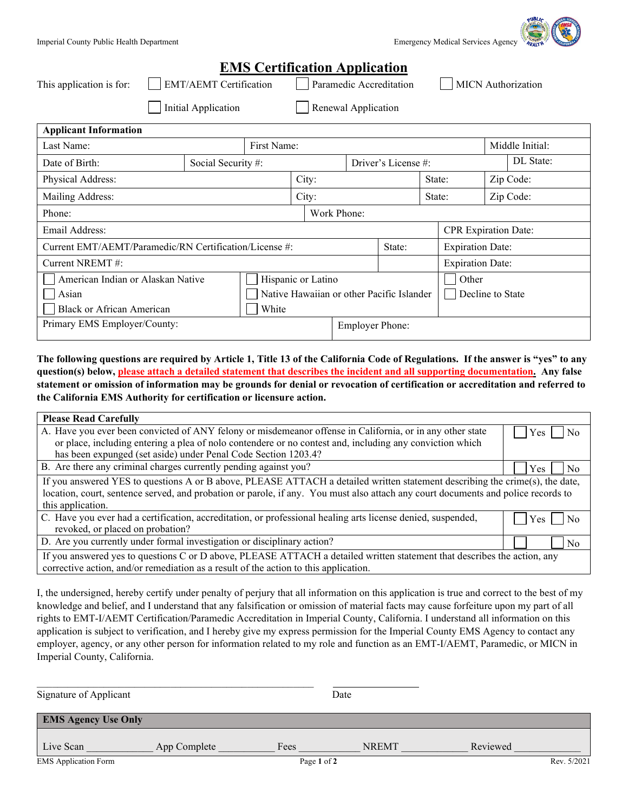| imergency Medical Services Agency |  | Ŋ |  |
|-----------------------------------|--|---|--|

| <b>QUBLIC</b> |  |
|---------------|--|
| т.,           |  |
|               |  |
|               |  |
| FAIT          |  |

|                                                        |                               |                     |                                           | <b>EMS Certification Application</b> |                         |                         |                             |           |                           |
|--------------------------------------------------------|-------------------------------|---------------------|-------------------------------------------|--------------------------------------|-------------------------|-------------------------|-----------------------------|-----------|---------------------------|
| This application is for:                               | <b>EMT/AEMT Certification</b> |                     |                                           | Paramedic Accreditation              |                         |                         |                             |           | <b>MICN</b> Authorization |
| Initial Application                                    |                               | Renewal Application |                                           |                                      |                         |                         |                             |           |                           |
| <b>Applicant Information</b>                           |                               |                     |                                           |                                      |                         |                         |                             |           |                           |
| First Name:<br>Last Name:                              |                               |                     |                                           |                                      |                         | Middle Initial:         |                             |           |                           |
| Date of Birth:                                         | Social Security #:            |                     |                                           |                                      | Driver's License #:     |                         |                             | DL State: |                           |
| Physical Address:                                      |                               |                     | City:                                     |                                      | State:                  | Zip Code:               |                             |           |                           |
| Mailing Address:                                       |                               |                     | City:                                     |                                      |                         | Zip Code:<br>State:     |                             |           |                           |
| Phone:                                                 |                               |                     |                                           | Work Phone:                          |                         |                         |                             |           |                           |
| Email Address:                                         |                               |                     |                                           |                                      |                         |                         | <b>CPR</b> Expiration Date: |           |                           |
| Current EMT/AEMT/Paramedic/RN Certification/License #: |                               |                     |                                           | State:                               |                         | <b>Expiration Date:</b> |                             |           |                           |
| Current NREMT#:                                        |                               |                     |                                           |                                      | <b>Expiration Date:</b> |                         |                             |           |                           |
| American Indian or Alaskan Native                      |                               |                     | Hispanic or Latino                        |                                      |                         |                         | Other                       |           |                           |
| Asian                                                  |                               |                     | Native Hawaiian or other Pacific Islander |                                      |                         | Decline to State        |                             |           |                           |
| <b>Black or African American</b>                       |                               | White               |                                           |                                      |                         |                         |                             |           |                           |
| Primary EMS Employer/County:                           |                               |                     |                                           | <b>Employer Phone:</b>               |                         |                         |                             |           |                           |

**The following questions are required by Article 1, Title 13 of the California Code of Regulations. If the answer is "yes" to any question(s) below, please attach a detailed statement that describes the incident and all supporting documentation. Any false statement or omission of information may be grounds for denial or revocation of certification or accreditation and referred to the California EMS Authority for certification or licensure action.**

| <b>Please Read Carefully</b>                                                                                                      |                       |  |  |  |  |
|-----------------------------------------------------------------------------------------------------------------------------------|-----------------------|--|--|--|--|
| A. Have you ever been convicted of ANY felony or misdemeanor offense in California, or in any other state                         | Yes<br>N <sub>0</sub> |  |  |  |  |
| or place, including entering a plea of nolo contendere or no contest and, including any conviction which                          |                       |  |  |  |  |
| has been expunged (set aside) under Penal Code Section 1203.4?                                                                    |                       |  |  |  |  |
| B. Are there any criminal charges currently pending against you?                                                                  | N <sub>0</sub><br>Yes |  |  |  |  |
| If you answered YES to questions A or B above, PLEASE ATTACH a detailed written statement describing the crime(s), the date,      |                       |  |  |  |  |
| location, court, sentence served, and probation or parole, if any. You must also attach any court documents and police records to |                       |  |  |  |  |
| this application.                                                                                                                 |                       |  |  |  |  |
| C. Have you ever had a certification, accreditation, or professional healing arts license denied, suspended,                      | No<br>Yes             |  |  |  |  |
| revoked, or placed on probation?                                                                                                  |                       |  |  |  |  |
| D. Are you currently under formal investigation or disciplinary action?                                                           | No                    |  |  |  |  |
| If you answered yes to questions C or D above, PLEASE ATTACH a detailed written statement that describes the action, any          |                       |  |  |  |  |
| corrective action, and/or remediation as a result of the action to this application.                                              |                       |  |  |  |  |

I, the undersigned, hereby certify under penalty of perjury that all information on this application is true and correct to the best of my knowledge and belief, and I understand that any falsification or omission of material facts may cause forfeiture upon my part of all rights to EMT-I/AEMT Certification/Paramedic Accreditation in Imperial County, California. I understand all information on this application is subject to verification, and I hereby give my express permission for the Imperial County EMS Agency to contact any employer, agency, or any other person for information related to my role and function as an EMT-I/AEMT, Paramedic, or MICN in Imperial County, California.

| Signature of Applicant      |              |             | Date         |             |  |
|-----------------------------|--------------|-------------|--------------|-------------|--|
| <b>EMS Agency Use Only</b>  |              |             |              |             |  |
| Live Scan                   | App Complete | Fees        | <b>NREMT</b> | Reviewed    |  |
| <b>EMS</b> Application Form |              | Page 1 of 2 |              | Rev. 5/2021 |  |